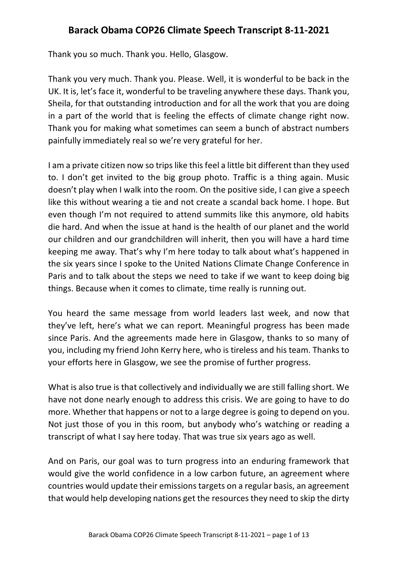## **Barack Obama COP26 Climate Speech Transcript 8-11-2021**

Thank you so much. Thank you. Hello, Glasgow.

Thank you very much. Thank you. Please. Well, it is wonderful to be back in the UK. It is, let's face it, wonderful to be traveling anywhere these days. Thank you, Sheila, for that outstanding introduction and for all the work that you are doing in a part of the world that is feeling the effects of climate change right now. Thank you for making what sometimes can seem a bunch of abstract numbers painfully immediately real so we're very grateful for her.

I am a private citizen now so trips like this feel a little bit different than they used to. I don't get invited to the big group photo. Traffic is a thing again. Music doesn't play when I walk into the room. On the positive side, I can give a speech like this without wearing a tie and not create a scandal back home. I hope. But even though I'm not required to attend summits like this anymore, old habits die hard. And when the issue at hand is the health of our planet and the world our children and our grandchildren will inherit, then you will have a hard time keeping me away. That's why I'm here today to talk about what's happened in the six years since I spoke to the United Nations Climate Change Conference in Paris and to talk about the steps we need to take if we want to keep doing big things. Because when it comes to climate, time really is running out.

You heard the same message from world leaders last week, and now that they've left, here's what we can report. Meaningful progress has been made since Paris. And the agreements made here in Glasgow, thanks to so many of you, including my friend John Kerry here, who is tireless and his team. Thanks to your efforts here in Glasgow, we see the promise of further progress.

What is also true is that collectively and individually we are still falling short. We have not done nearly enough to address this crisis. We are going to have to do more. Whether that happens or not to a large degree is going to depend on you. Not just those of you in this room, but anybody who's watching or reading a transcript of what I say here today. That was true six years ago as well.

And on Paris, our goal was to turn progress into an enduring framework that would give the world confidence in a low carbon future, an agreement where countries would update their emissions targets on a regular basis, an agreement that would help developing nations get the resources they need to skip the dirty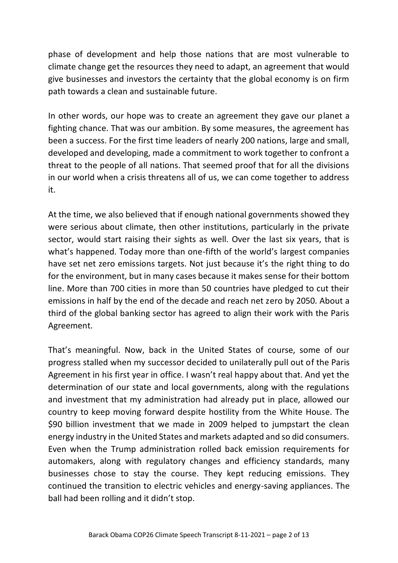phase of development and help those nations that are most vulnerable to climate change get the resources they need to adapt, an agreement that would give businesses and investors the certainty that the global economy is on firm path towards a clean and sustainable future.

In other words, our hope was to create an agreement they gave our planet a fighting chance. That was our ambition. By some measures, the agreement has been a success. For the first time leaders of nearly 200 nations, large and small, developed and developing, made a commitment to work together to confront a threat to the people of all nations. That seemed proof that for all the divisions in our world when a crisis threatens all of us, we can come together to address it.

At the time, we also believed that if enough national governments showed they were serious about climate, then other institutions, particularly in the private sector, would start raising their sights as well. Over the last six years, that is what's happened. Today more than one-fifth of the world's largest companies have set net zero emissions targets. Not just because it's the right thing to do for the environment, but in many cases because it makes sense for their bottom line. More than 700 cities in more than 50 countries have pledged to cut their emissions in half by the end of the decade and reach net zero by 2050. About a third of the global banking sector has agreed to align their work with the Paris Agreement.

That's meaningful. Now, back in the United States of course, some of our progress stalled when my successor decided to unilaterally pull out of the Paris Agreement in his first year in office. I wasn't real happy about that. And yet the determination of our state and local governments, along with the regulations and investment that my administration had already put in place, allowed our country to keep moving forward despite hostility from the White House. The \$90 billion investment that we made in 2009 helped to jumpstart the clean energy industry in the United States and markets adapted and so did consumers. Even when the Trump administration rolled back emission requirements for automakers, along with regulatory changes and efficiency standards, many businesses chose to stay the course. They kept reducing emissions. They continued the transition to electric vehicles and energy-saving appliances. The ball had been rolling and it didn't stop.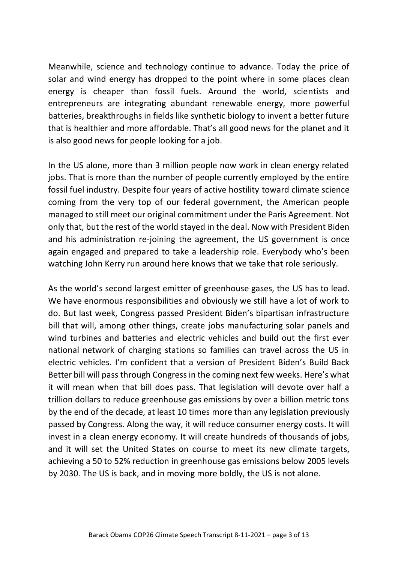Meanwhile, science and technology continue to advance. Today the price of solar and wind energy has dropped to the point where in some places clean energy is cheaper than fossil fuels. Around the world, scientists and entrepreneurs are integrating abundant renewable energy, more powerful batteries, breakthroughs in fields like synthetic biology to invent a better future that is healthier and more affordable. That's all good news for the planet and it is also good news for people looking for a job.

In the US alone, more than 3 million people now work in clean energy related jobs. That is more than the number of people currently employed by the entire fossil fuel industry. Despite four years of active hostility toward climate science coming from the very top of our federal government, the American people managed to still meet our original commitment under the Paris Agreement. Not only that, but the rest of the world stayed in the deal. Now with President Biden and his administration re-joining the agreement, the US government is once again engaged and prepared to take a leadership role. Everybody who's been watching John Kerry run around here knows that we take that role seriously.

As the world's second largest emitter of greenhouse gases, the US has to lead. We have enormous responsibilities and obviously we still have a lot of work to do. But last week, Congress passed President Biden's bipartisan infrastructure bill that will, among other things, create jobs manufacturing solar panels and wind turbines and batteries and electric vehicles and build out the first ever national network of charging stations so families can travel across the US in electric vehicles. I'm confident that a version of President Biden's Build Back Better bill will pass through Congress in the coming next few weeks. Here's what it will mean when that bill does pass. That legislation will devote over half a trillion dollars to reduce greenhouse gas emissions by over a billion metric tons by the end of the decade, at least 10 times more than any legislation previously passed by Congress. Along the way, it will reduce consumer energy costs. It will invest in a clean energy economy. It will create hundreds of thousands of jobs, and it will set the United States on course to meet its new climate targets, achieving a 50 to 52% reduction in greenhouse gas emissions below 2005 levels by 2030. The US is back, and in moving more boldly, the US is not alone.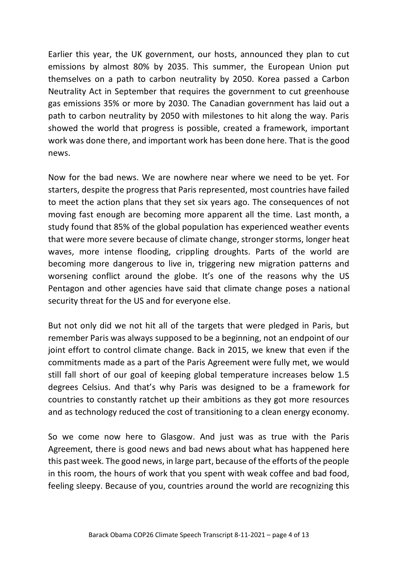Earlier this year, the UK government, our hosts, announced they plan to cut emissions by almost 80% by 2035. This summer, the European Union put themselves on a path to carbon neutrality by 2050. Korea passed a Carbon Neutrality Act in September that requires the government to cut greenhouse gas emissions 35% or more by 2030. The Canadian government has laid out a path to carbon neutrality by 2050 with milestones to hit along the way. Paris showed the world that progress is possible, created a framework, important work was done there, and important work has been done here. That is the good news.

Now for the bad news. We are nowhere near where we need to be yet. For starters, despite the progress that Paris represented, most countries have failed to meet the action plans that they set six years ago. The consequences of not moving fast enough are becoming more apparent all the time. Last month, a study found that 85% of the global population has experienced weather events that were more severe because of climate change, stronger storms, longer heat waves, more intense flooding, crippling droughts. Parts of the world are becoming more dangerous to live in, triggering new migration patterns and worsening conflict around the globe. It's one of the reasons why the US Pentagon and other agencies have said that climate change poses a national security threat for the US and for everyone else.

But not only did we not hit all of the targets that were pledged in Paris, but remember Paris was always supposed to be a beginning, not an endpoint of our joint effort to control climate change. Back in 2015, we knew that even if the commitments made as a part of the Paris Agreement were fully met, we would still fall short of our goal of keeping global temperature increases below 1.5 degrees Celsius. And that's why Paris was designed to be a framework for countries to constantly ratchet up their ambitions as they got more resources and as technology reduced the cost of transitioning to a clean energy economy.

So we come now here to Glasgow. And just was as true with the Paris Agreement, there is good news and bad news about what has happened here this past week. The good news, in large part, because of the efforts of the people in this room, the hours of work that you spent with weak coffee and bad food, feeling sleepy. Because of you, countries around the world are recognizing this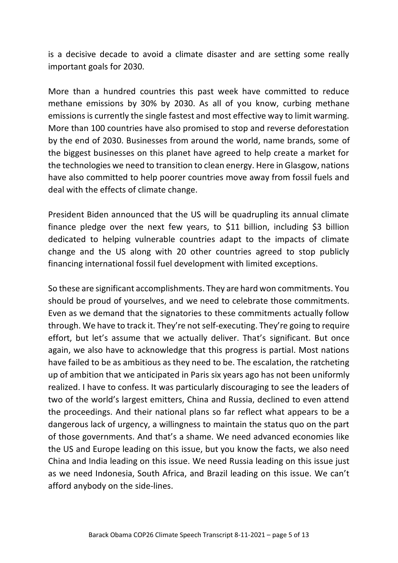is a decisive decade to avoid a climate disaster and are setting some really important goals for 2030.

More than a hundred countries this past week have committed to reduce methane emissions by 30% by 2030. As all of you know, curbing methane emissions is currently the single fastest and most effective way to limit warming. More than 100 countries have also promised to stop and reverse deforestation by the end of 2030. Businesses from around the world, name brands, some of the biggest businesses on this planet have agreed to help create a market for the technologies we need to transition to clean energy. Here in Glasgow, nations have also committed to help poorer countries move away from fossil fuels and deal with the effects of climate change.

President Biden announced that the US will be quadrupling its annual climate finance pledge over the next few years, to \$11 billion, including \$3 billion dedicated to helping vulnerable countries adapt to the impacts of climate change and the US along with 20 other countries agreed to stop publicly financing international fossil fuel development with limited exceptions.

So these are significant accomplishments. They are hard won commitments. You should be proud of yourselves, and we need to celebrate those commitments. Even as we demand that the signatories to these commitments actually follow through. We have to track it. They're not self-executing. They're going to require effort, but let's assume that we actually deliver. That's significant. But once again, we also have to acknowledge that this progress is partial. Most nations have failed to be as ambitious as they need to be. The escalation, the ratcheting up of ambition that we anticipated in Paris six years ago has not been uniformly realized. I have to confess. It was particularly discouraging to see the leaders of two of the world's largest emitters, China and Russia, declined to even attend the proceedings. And their national plans so far reflect what appears to be a dangerous lack of urgency, a willingness to maintain the status quo on the part of those governments. And that's a shame. We need advanced economies like the US and Europe leading on this issue, but you know the facts, we also need China and India leading on this issue. We need Russia leading on this issue just as we need Indonesia, South Africa, and Brazil leading on this issue. We can't afford anybody on the side-lines.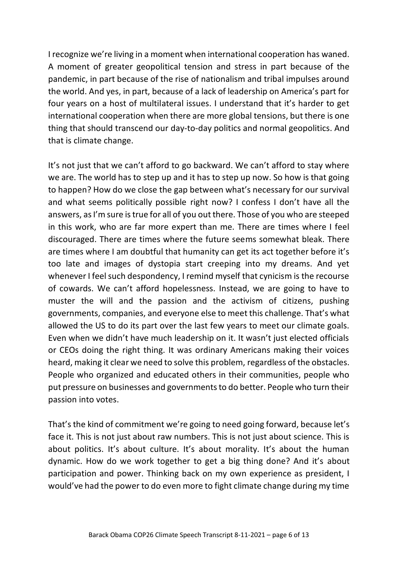I recognize we're living in a moment when international cooperation has waned. A moment of greater geopolitical tension and stress in part because of the pandemic, in part because of the rise of nationalism and tribal impulses around the world. And yes, in part, because of a lack of leadership on America's part for four years on a host of multilateral issues. I understand that it's harder to get international cooperation when there are more global tensions, but there is one thing that should transcend our day-to-day politics and normal geopolitics. And that is climate change.

It's not just that we can't afford to go backward. We can't afford to stay where we are. The world has to step up and it has to step up now. So how is that going to happen? How do we close the gap between what's necessary for our survival and what seems politically possible right now? I confess I don't have all the answers, as I'm sure is true for all of you out there. Those of you who are steeped in this work, who are far more expert than me. There are times where I feel discouraged. There are times where the future seems somewhat bleak. There are times where I am doubtful that humanity can get its act together before it's too late and images of dystopia start creeping into my dreams. And yet whenever I feel such despondency, I remind myself that cynicism is the recourse of cowards. We can't afford hopelessness. Instead, we are going to have to muster the will and the passion and the activism of citizens, pushing governments, companies, and everyone else to meet this challenge. That's what allowed the US to do its part over the last few years to meet our climate goals. Even when we didn't have much leadership on it. It wasn't just elected officials or CEOs doing the right thing. It was ordinary Americans making their voices heard, making it clear we need to solve this problem, regardless of the obstacles. People who organized and educated others in their communities, people who put pressure on businesses and governments to do better. People who turn their passion into votes.

That's the kind of commitment we're going to need going forward, because let's face it. This is not just about raw numbers. This is not just about science. This is about politics. It's about culture. It's about morality. It's about the human dynamic. How do we work together to get a big thing done? And it's about participation and power. Thinking back on my own experience as president, I would've had the power to do even more to fight climate change during my time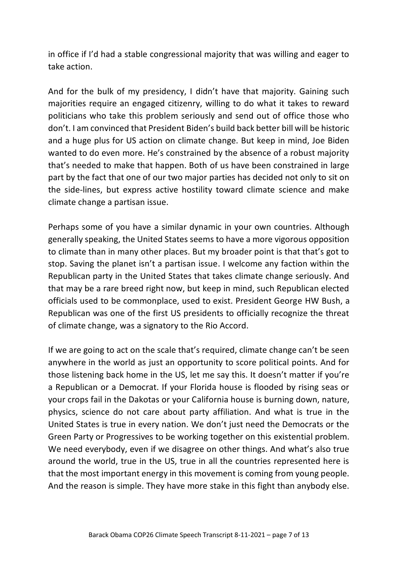in office if I'd had a stable congressional majority that was willing and eager to take action.

And for the bulk of my presidency, I didn't have that majority. Gaining such majorities require an engaged citizenry, willing to do what it takes to reward politicians who take this problem seriously and send out of office those who don't. I am convinced that President Biden's build back better bill will be historic and a huge plus for US action on climate change. But keep in mind, Joe Biden wanted to do even more. He's constrained by the absence of a robust majority that's needed to make that happen. Both of us have been constrained in large part by the fact that one of our two major parties has decided not only to sit on the side-lines, but express active hostility toward climate science and make climate change a partisan issue.

Perhaps some of you have a similar dynamic in your own countries. Although generally speaking, the United States seems to have a more vigorous opposition to climate than in many other places. But my broader point is that that's got to stop. Saving the planet isn't a partisan issue. I welcome any faction within the Republican party in the United States that takes climate change seriously. And that may be a rare breed right now, but keep in mind, such Republican elected officials used to be commonplace, used to exist. President George HW Bush, a Republican was one of the first US presidents to officially recognize the threat of climate change, was a signatory to the Rio Accord.

If we are going to act on the scale that's required, climate change can't be seen anywhere in the world as just an opportunity to score political points. And for those listening back home in the US, let me say this. It doesn't matter if you're a Republican or a Democrat. If your Florida house is flooded by rising seas or your crops fail in the Dakotas or your California house is burning down, nature, physics, science do not care about party affiliation. And what is true in the United States is true in every nation. We don't just need the Democrats or the Green Party or Progressives to be working together on this existential problem. We need everybody, even if we disagree on other things. And what's also true around the world, true in the US, true in all the countries represented here is that the most important energy in this movement is coming from young people. And the reason is simple. They have more stake in this fight than anybody else.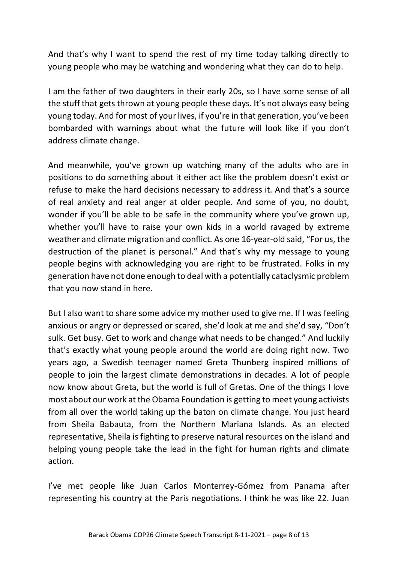And that's why I want to spend the rest of my time today talking directly to young people who may be watching and wondering what they can do to help.

I am the father of two daughters in their early 20s, so I have some sense of all the stuff that gets thrown at young people these days. It's not always easy being young today. And for most of your lives, if you're in that generation, you've been bombarded with warnings about what the future will look like if you don't address climate change.

And meanwhile, you've grown up watching many of the adults who are in positions to do something about it either act like the problem doesn't exist or refuse to make the hard decisions necessary to address it. And that's a source of real anxiety and real anger at older people. And some of you, no doubt, wonder if you'll be able to be safe in the community where you've grown up, whether you'll have to raise your own kids in a world ravaged by extreme weather and climate migration and conflict. As one 16-year-old said, "For us, the destruction of the planet is personal." And that's why my message to young people begins with acknowledging you are right to be frustrated. Folks in my generation have not done enough to deal with a potentially cataclysmic problem that you now stand in here.

But I also want to share some advice my mother used to give me. If I was feeling anxious or angry or depressed or scared, she'd look at me and she'd say, "Don't sulk. Get busy. Get to work and change what needs to be changed." And luckily that's exactly what young people around the world are doing right now. Two years ago, a Swedish teenager named Greta Thunberg inspired millions of people to join the largest climate demonstrations in decades. A lot of people now know about Greta, but the world is full of Gretas. One of the things I love most about our work at the Obama Foundation is getting to meet young activists from all over the world taking up the baton on climate change. You just heard from Sheila Babauta, from the Northern Mariana Islands. As an elected representative, Sheila is fighting to preserve natural resources on the island and helping young people take the lead in the fight for human rights and climate action.

I've met people like Juan Carlos Monterrey-Gómez from Panama after representing his country at the Paris negotiations. I think he was like 22. Juan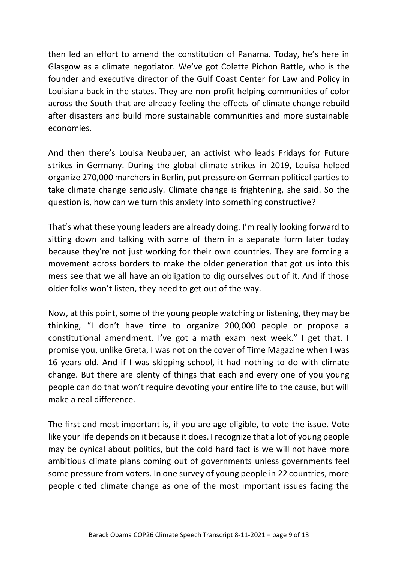then led an effort to amend the constitution of Panama. Today, he's here in Glasgow as a climate negotiator. We've got Colette Pichon Battle, who is the founder and executive director of the Gulf Coast Center for Law and Policy in Louisiana back in the states. They are non-profit helping communities of color across the South that are already feeling the effects of climate change rebuild after disasters and build more sustainable communities and more sustainable economies.

And then there's Louisa Neubauer, an activist who leads Fridays for Future strikes in Germany. During the global climate strikes in 2019, Louisa helped organize 270,000 marchers in Berlin, put pressure on German political parties to take climate change seriously. Climate change is frightening, she said. So the question is, how can we turn this anxiety into something constructive?

That's what these young leaders are already doing. I'm really looking forward to sitting down and talking with some of them in a separate form later today because they're not just working for their own countries. They are forming a movement across borders to make the older generation that got us into this mess see that we all have an obligation to dig ourselves out of it. And if those older folks won't listen, they need to get out of the way.

Now, at this point, some of the young people watching or listening, they may be thinking, "I don't have time to organize 200,000 people or propose a constitutional amendment. I've got a math exam next week." I get that. I promise you, unlike Greta, I was not on the cover of Time Magazine when I was 16 years old. And if I was skipping school, it had nothing to do with climate change. But there are plenty of things that each and every one of you young people can do that won't require devoting your entire life to the cause, but will make a real difference.

The first and most important is, if you are age eligible, to vote the issue. Vote like your life depends on it because it does. I recognize that a lot of young people may be cynical about politics, but the cold hard fact is we will not have more ambitious climate plans coming out of governments unless governments feel some pressure from voters. In one survey of young people in 22 countries, more people cited climate change as one of the most important issues facing the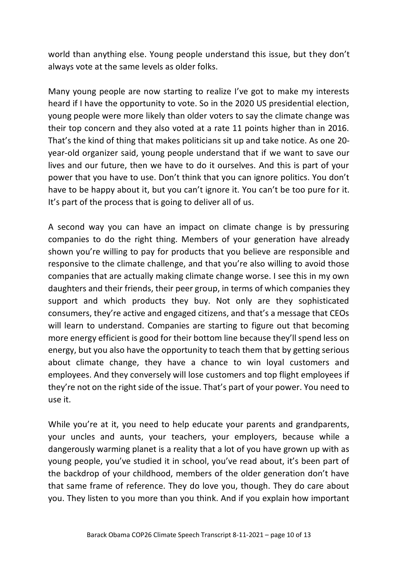world than anything else. Young people understand this issue, but they don't always vote at the same levels as older folks.

Many young people are now starting to realize I've got to make my interests heard if I have the opportunity to vote. So in the 2020 US presidential election, young people were more likely than older voters to say the climate change was their top concern and they also voted at a rate 11 points higher than in 2016. That's the kind of thing that makes politicians sit up and take notice. As one 20 year-old organizer said, young people understand that if we want to save our lives and our future, then we have to do it ourselves. And this is part of your power that you have to use. Don't think that you can ignore politics. You don't have to be happy about it, but you can't ignore it. You can't be too pure for it. It's part of the process that is going to deliver all of us.

A second way you can have an impact on climate change is by pressuring companies to do the right thing. Members of your generation have already shown you're willing to pay for products that you believe are responsible and responsive to the climate challenge, and that you're also willing to avoid those companies that are actually making climate change worse. I see this in my own daughters and their friends, their peer group, in terms of which companies they support and which products they buy. Not only are they sophisticated consumers, they're active and engaged citizens, and that's a message that CEOs will learn to understand. Companies are starting to figure out that becoming more energy efficient is good for their bottom line because they'll spend less on energy, but you also have the opportunity to teach them that by getting serious about climate change, they have a chance to win loyal customers and employees. And they conversely will lose customers and top flight employees if they're not on the right side of the issue. That's part of your power. You need to use it.

While you're at it, you need to help educate your parents and grandparents, your uncles and aunts, your teachers, your employers, because while a dangerously warming planet is a reality that a lot of you have grown up with as young people, you've studied it in school, you've read about, it's been part of the backdrop of your childhood, members of the older generation don't have that same frame of reference. They do love you, though. They do care about you. They listen to you more than you think. And if you explain how important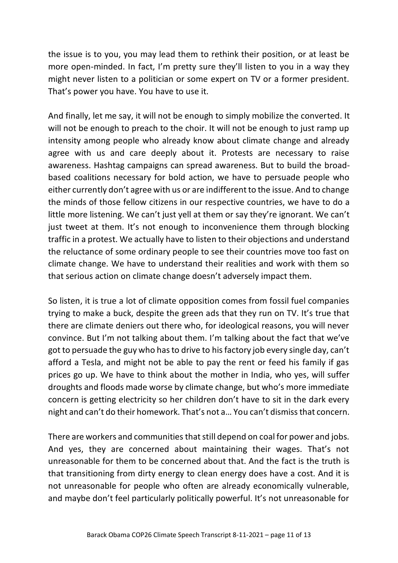the issue is to you, you may lead them to rethink their position, or at least be more open-minded. In fact, I'm pretty sure they'll listen to you in a way they might never listen to a politician or some expert on TV or a former president. That's power you have. You have to use it.

And finally, let me say, it will not be enough to simply mobilize the converted. It will not be enough to preach to the choir. It will not be enough to just ramp up intensity among people who already know about climate change and already agree with us and care deeply about it. Protests are necessary to raise awareness. Hashtag campaigns can spread awareness. But to build the broadbased coalitions necessary for bold action, we have to persuade people who either currently don't agree with us or are indifferent to the issue. And to change the minds of those fellow citizens in our respective countries, we have to do a little more listening. We can't just yell at them or say they're ignorant. We can't just tweet at them. It's not enough to inconvenience them through blocking traffic in a protest. We actually have to listen to their objections and understand the reluctance of some ordinary people to see their countries move too fast on climate change. We have to understand their realities and work with them so that serious action on climate change doesn't adversely impact them.

So listen, it is true a lot of climate opposition comes from fossil fuel companies trying to make a buck, despite the green ads that they run on TV. It's true that there are climate deniers out there who, for ideological reasons, you will never convince. But I'm not talking about them. I'm talking about the fact that we've got to persuade the guy who has to drive to his factory job every single day, can't afford a Tesla, and might not be able to pay the rent or feed his family if gas prices go up. We have to think about the mother in India, who yes, will suffer droughts and floods made worse by climate change, but who's more immediate concern is getting electricity so her children don't have to sit in the dark every night and can't do their homework. That's not a… You can't dismiss that concern.

There are workers and communities that still depend on coal for power and jobs. And yes, they are concerned about maintaining their wages. That's not unreasonable for them to be concerned about that. And the fact is the truth is that transitioning from dirty energy to clean energy does have a cost. And it is not unreasonable for people who often are already economically vulnerable, and maybe don't feel particularly politically powerful. It's not unreasonable for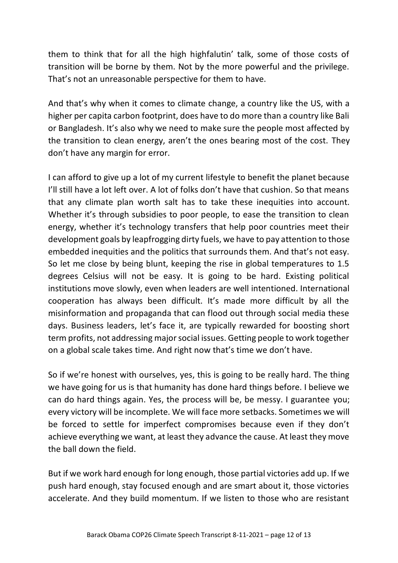them to think that for all the high highfalutin' talk, some of those costs of transition will be borne by them. Not by the more powerful and the privilege. That's not an unreasonable perspective for them to have.

And that's why when it comes to climate change, a country like the US, with a higher per capita carbon footprint, does have to do more than a country like Bali or Bangladesh. It's also why we need to make sure the people most affected by the transition to clean energy, aren't the ones bearing most of the cost. They don't have any margin for error.

I can afford to give up a lot of my current lifestyle to benefit the planet because I'll still have a lot left over. A lot of folks don't have that cushion. So that means that any climate plan worth salt has to take these inequities into account. Whether it's through subsidies to poor people, to ease the transition to clean energy, whether it's technology transfers that help poor countries meet their development goals by leapfrogging dirty fuels, we have to pay attention to those embedded inequities and the politics that surrounds them. And that's not easy. So let me close by being blunt, keeping the rise in global temperatures to 1.5 degrees Celsius will not be easy. It is going to be hard. Existing political institutions move slowly, even when leaders are well intentioned. International cooperation has always been difficult. It's made more difficult by all the misinformation and propaganda that can flood out through social media these days. Business leaders, let's face it, are typically rewarded for boosting short term profits, not addressing major social issues. Getting people to work together on a global scale takes time. And right now that's time we don't have.

So if we're honest with ourselves, yes, this is going to be really hard. The thing we have going for us is that humanity has done hard things before. I believe we can do hard things again. Yes, the process will be, be messy. I guarantee you; every victory will be incomplete. We will face more setbacks. Sometimes we will be forced to settle for imperfect compromises because even if they don't achieve everything we want, at least they advance the cause. At least they move the ball down the field.

But if we work hard enough for long enough, those partial victories add up. If we push hard enough, stay focused enough and are smart about it, those victories accelerate. And they build momentum. If we listen to those who are resistant